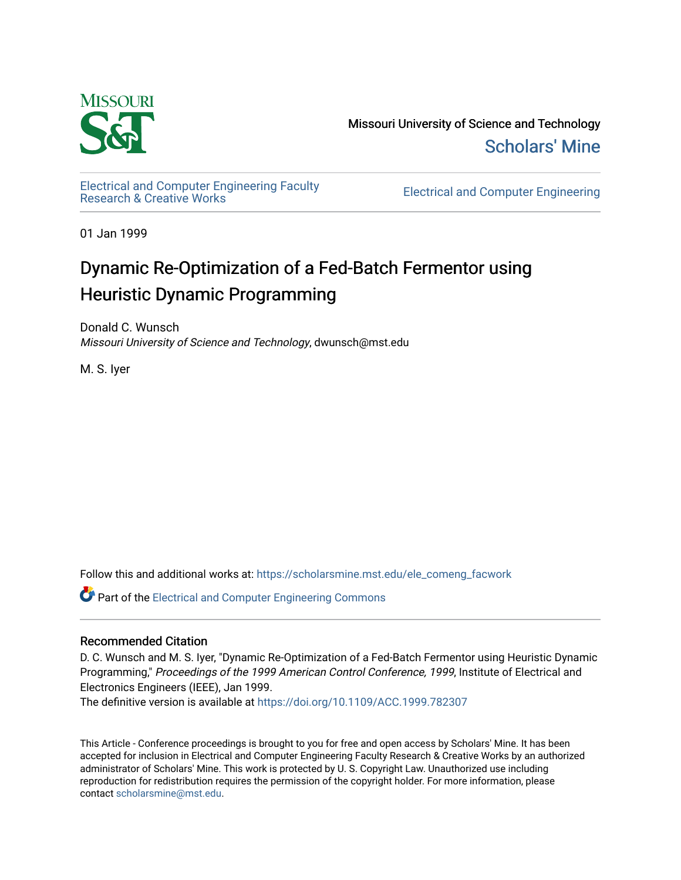

Missouri University of Science and Technology [Scholars' Mine](https://scholarsmine.mst.edu/) 

[Electrical and Computer Engineering Faculty](https://scholarsmine.mst.edu/ele_comeng_facwork)

**Electrical and Computer Engineering** 

01 Jan 1999

# Dynamic Re-Optimization of a Fed-Batch Fermentor using Heuristic Dynamic Programming

Donald C. Wunsch Missouri University of Science and Technology, dwunsch@mst.edu

M. S. Iyer

Follow this and additional works at: [https://scholarsmine.mst.edu/ele\\_comeng\\_facwork](https://scholarsmine.mst.edu/ele_comeng_facwork?utm_source=scholarsmine.mst.edu%2Fele_comeng_facwork%2F1566&utm_medium=PDF&utm_campaign=PDFCoverPages)

**C** Part of the Electrical and Computer Engineering Commons

# Recommended Citation

D. C. Wunsch and M. S. Iyer, "Dynamic Re-Optimization of a Fed-Batch Fermentor using Heuristic Dynamic Programming," Proceedings of the 1999 American Control Conference, 1999, Institute of Electrical and Electronics Engineers (IEEE), Jan 1999.

The definitive version is available at <https://doi.org/10.1109/ACC.1999.782307>

This Article - Conference proceedings is brought to you for free and open access by Scholars' Mine. It has been accepted for inclusion in Electrical and Computer Engineering Faculty Research & Creative Works by an authorized administrator of Scholars' Mine. This work is protected by U. S. Copyright Law. Unauthorized use including reproduction for redistribution requires the permission of the copyright holder. For more information, please contact [scholarsmine@mst.edu](mailto:scholarsmine@mst.edu).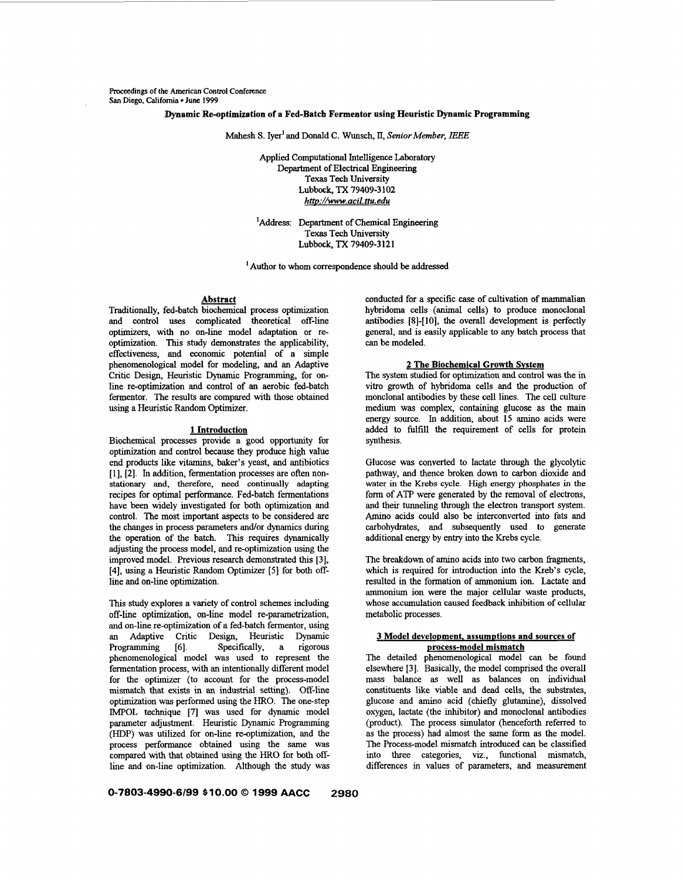# **Dynamic Re-optimization of a Fed-Batch Fermentor using Heuristic Dynamic Programming**

Mahesh S. Iver<sup>1</sup> and Donald C. Wunsch, II, *Senior Member, IEEE* 

Applied Computational Intelligence Laboratory Department of Electrical Engineering Texas Tech University *[hftu://www.acilttu.edu](http://hftu://www.acilttu.edu)*  Lubbock, **TX** 79409-3 **102** 

<sup>1</sup>Address: Department of Chemical Engineering Texas Tech University Lubbock, **TX** 79409-3121

<sup>1</sup> Author to whom correspondence should be addressed

# **Abstract**

Traditionally, fed-batch biochemical process optimization and control uses complicated theoretical off-line optimizers, with no on-line model adaptation or reoptimization. This study demonstrates the applicability, effectiveness, and economic potential of a simple phenomenological model for modeling, and an Adaptive Critic Design, Heuristic Dynamic Programming, for online re-optimization and control of an aerobic fed-batch fermentor. The results are compared with those obtained using a Heuristic Random Optimizer.

#### **1 Introduction**

Biochemical processes provide a good opportunity for optimization and control because they produce high value end products like vitamins, baker's yeast, and antibiotics [ 11, **[2].** In addition, fermentation processes are often nonstationary and, therefore, need continually adapting recipes for optimal performance. Fed-batch fermentations have been widely investigated for both optimization and control. The most important aspects to be considered are the changes in process parameters and/or dynamics during the operation of the batch. This requires dynamically adjusting the process model, and re-optimization using the improved model. Previous research demonstrated this **[3], [4],** using a Heuristic Random Optimizer [5] for both offline and on-line optimization.

This study explores a variety of control schemes including off-line optimization, on-line model re-parametrization, and on-line re-optimization of a fed-batch fermentor, using an Adaptive Critic Design, Heuristic Dynamic<br>Programming [6]. Specifically, a rigorous Programming **[6].** Specifically, a rigorous phenomenological model was used to represent the fermentation process, with an intentionally different model for the optimizer (to account for the process-model mismatch that exists in an industrial setting). Off-line optimization was performed using the *HRO.* The one-step IMPOL technique [7] was used for dynamic model parameter adjustment. Heuristic Dynamic Programming (HDP) was utilized for on-line re-optimization, and the process performance obtained using the same was compared with that obtained using the HRO for both offline and on-line optimization. Although the study was

conducted for a specific case of cultivation of mammalian hybridoma cells (animal cells) to produce monoclonal antibodies **[SI-[** lo], the overall development is perfectly general, and is easily applicable to any batch process that *can* be modeled.

# **2 The Biochemical Growth System**

The system studied for optimization and control was the in vitro growth of hybridoma cells and the production of monclonal antibodies by these cell lines. The cell culture medium was complex, containing glucose **as** the main energy source. In addition, about **15** amino acids were added to fulfill the requirement of cells for protein synthesis.

Glucose was converted to lactate through the glycolytic pathway, and thence broken down to carbon dioxide and water in the Krebs cycle. **High** energy phosphates in the form of ATP were generated by the removal of electrons, and their tunneling through the electron transport system. Amino acids could also be interconverted into fats and carbohydrates, and subsequently used to generate additional energy by entry into the Krebs cycle.

The breakdown of amino acids into two carbon fragments, which is required for introduction into the Kreb's cycle, resulted in the formation of ammonium ion. Lactate and ammonium ion were the major cellular waste products, whose accumulation caused feedback inhibition of cellular metabolic processes.

### **3 Model development. assumptions and sources of process-model mismatch**

The detailed phenomenological model can be found elsewhere **[3].** Basically, the model comprised the overall mass balance as well as balances on individual constituents like viable and dead cells, the substrates, glucose and amino acid (chiefly glutamine), dissolved oxygen, lactate (the inhibitor) and monoclonal antibodies (product). The process simulator (henceforth referred to as the process) had almost the same form as the model. The Process-model mismatch introduced can be classified into three categories, viz., functional mismatch, differences in values of parameters, and measurement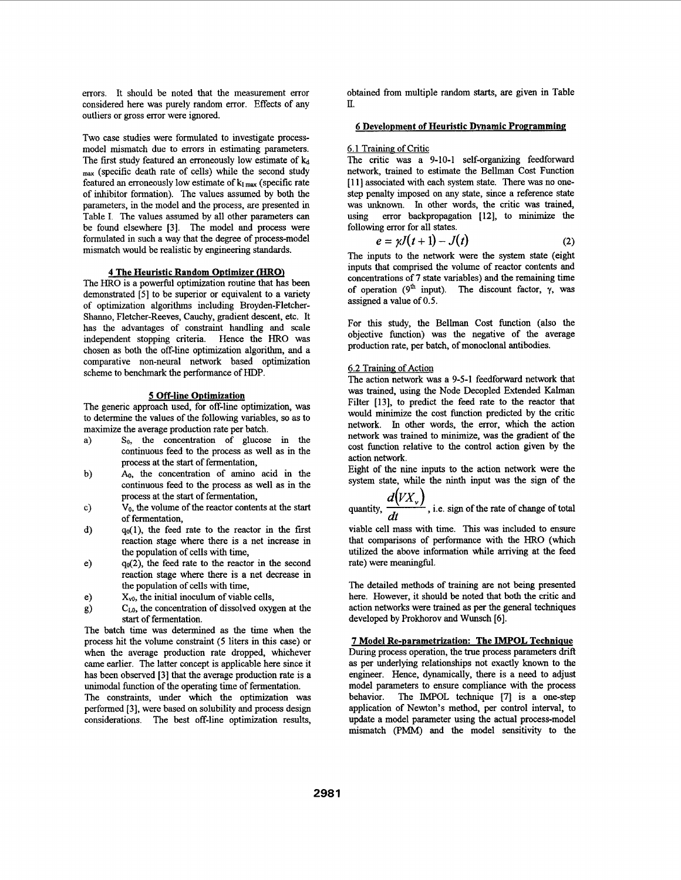errors. It should be noted that the measurement error considered here was purely random error. Effects of any outliers or gross error were ignored.

Two case studies were formulated to investigate processmodel mismatch due to errors in estimating parameters. The first study featured an erroneously low estimate of  $k_d$ (specific death rate of cells) while the second study featured an erroneously low estimate of  $k_{I max}$  (specific rate of inhibitor formation). The values assumed by both the parameters, in the model and the process, are presented in Table I. The values assumed by all other parameters can be found elsewhere **[3].** The model and process were formulated in such a way that the degree of process-model mismatch would be realistic by engineering standards.

#### **4 The Heuristic Random Optimizer (HRO)**

The HRO is a powerful optimization routine that has been demonstrated **[5]** to be superior or equivalent to a variety of optimization algorithms including Broyden-Fletcher-Shanno, Fletcher-Reeves, Cauchy, gradient descent, etc. It has the advantages of constraint handling and scale independent stopping criteria. Hence the KRO was chosen as both the off-line optimization algorithm, and a comparative non-neural network based optimization scheme to benchmark the performance of HDP.

# **5** Off-line Optimization

The generic approach used, for off-line optimization, was to determine the values of the following variables, so **as** to maximize the average production rate per batch.

- a) S<sub>0</sub>, the concentration of glucose in the continuous feed to the process as well as in the process at the start of fermentation,
- b)  $A_0$ , the concentration of amino acid in the continuous feed to the process as well as in the process at the start of fermentation,
- V<sub>0</sub>, the volume of the reactor contents at the start of fermentation, c)
- $q_0(1)$ , the feed rate to the reactor in the first reaction stage where there is a net increase in the population of cells with time, d)
- $q_0(2)$ , the feed rate to the reactor in the second reaction stage where there is a net decrease in the population of cells with time, e)
- e)  $X_{\nu 0}$ , the initial inoculum of viable cells,
- g) CLO, the concentration of dissolved oxygen at the start of fermentation.

The batch time was determined as the time when the process hit the volume constraint **(5** liters in this case) or when the average production rate dropped, whichever came earlier. The latter concept is applicable here since it has been observed **[3]** that the average production rate is a unimodal function of the operating time of fermentation.

The constraints, under which the optimization was performed **[3],** were based on solubility and process design considerations. The best off-line optimization results,

obtained from multiple random **starts,** are given in Table **II.** 

# 6 Development of Heuristic Dvnamic Programming

#### 6.1 Training of Critic

The critic was a 9-10-1 self-organizing feedforward network, trained to estimate the Bellman Cost Function [ 1 **11** associated with each system state. There was no onestep penalty imposed on any state, since a reference state was unknown. In other words, the critic was trained, using error backpropagation [12], to minimize the

following error for all states.  
\n
$$
e = \gamma J(t+1) - J(t)
$$
\n(2)

The inputs to the network were the system state (eight inputs that comprised the volume of reactor contents and concentrations of 7 state variables) and the remaining time of operation ( $9<sup>th</sup>$  input). The discount factor,  $\gamma$ , was assigned a value of 0.5.

For this study, the Bellman Cost function (also the objective function) was the negative of the average production rate, per batch, of monoclonal antibodies.

#### 6.2 Training of Action

The action network was a 9-5-1 feedforward network that was trained, using the Node Decopled Extended Kalman Filter [13], to predict the feed rate to the reactor that would minimize the cost function predicted by the critic network. **In** other words, the error, which the action network was trained to minimize, was the gradient of the cost function relative to the control action given by the action network. Filter [13], to predict the feed rate to the reactor that<br>would minimize the cost function predicted by the critic<br>network. In other words, the error, which the action<br>network was trained to minimize, was the gradient of

Eight of the nine inputs to the action network were the system state, while the ninth input was the sign of the

$$
d(VX_{\nu})
$$

quantity,  $\frac{d}{dt}$ 

viable cell mass with time. **This** was included to ensure that comparisons of performance with the *HRO* (which utilized the above information while arriving at the feed rate) were meaningful.

The detailed methods of training are not being presented here. However, it should be noted that both the critic and action networks were trained as per the general techniques developed by Prokhorov and Wunsch [6].

# **7** Model Re-parametrization: The IMPOL Technique

During process operation, the true process parameters **drift as** per underlying relationships not exactly known to the engineer. Hence, dynamically, there is a need to adjust model parameters to ensure compliance with the process behavior. The IMPOL technique [7] is a one-step application of Newton's method, **per** control interval, to update a model parameter using the actual process-model mismatch (PMM) and the model sensitivity to the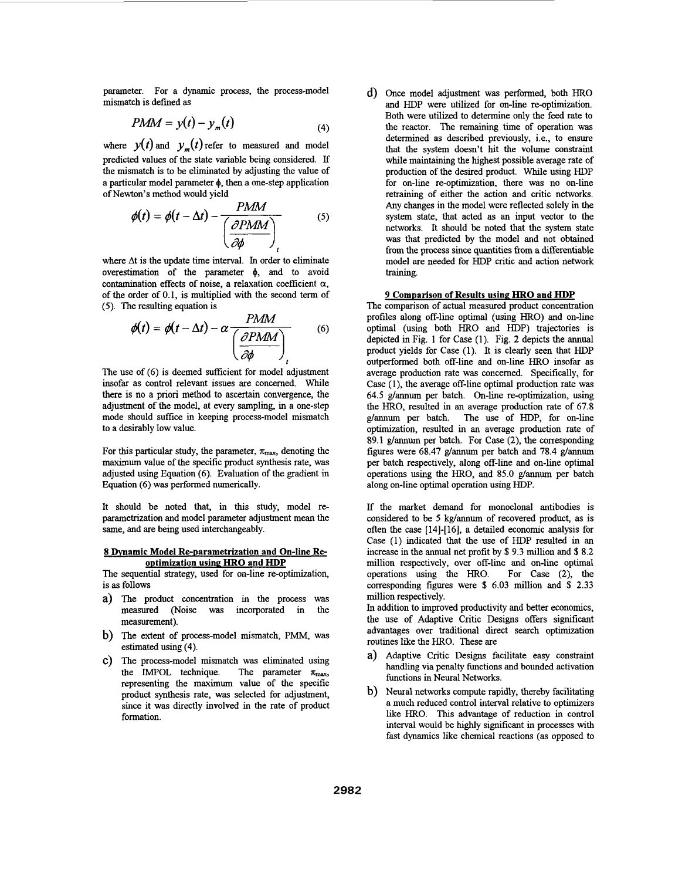parameter. For a dynamic process, the process-model mismatch is defined **as** 

$$
PMM = y(t) - y_m(t) \tag{4}
$$

where  $y(t)$  and  $y_{m}(t)$  refer to measured and model predicted values of the state variable being considered. If the mismatch is to be eliminated by adjusting the value of a particular model parameter  $\phi$ , then a one-step application of Newton's method would yield

$$
\phi(t) = \phi(t - \Delta t) - \frac{PMM}{\left(\frac{\partial PMM}{\partial \phi}\right)}\tag{5}
$$

where  $\Delta t$  is the update time interval. In order to eliminate overestimation of the parameter  $\phi$ , and to avoid contamination effects of noise, a relaxation coefficient *a,*  of the order of 0.1, is multiplied with the second term of (5). The resulting equation is

$$
\phi(t) = \phi(t - \Delta t) - \alpha \frac{PMM}{\left(\frac{\partial PMM}{\partial \phi}\right)}\tag{6}
$$

The use of (6) **is** deemed sufficient for model adjustment insofar as control relevant issues are concerned. While there is no a priori method to ascertain convergence, the adjustment of the model, at every sampling, in a one-step mode should suffice in keeping process-model mismatch to a desirably low value.

For this particular study, the parameter,  $\pi_{\text{max}}$ , denoting the maximum value of the specific product synthesis rate, was adjusted using Equation (6). Evaluation of the gradient in Equation *(6)* was performed numerically.

It should be noted that, in this study, model reparametrization and model parameter adjustment mean the same, and are being used interchangeably.

# 8 Dynamic Model Re-parametrization and On-line Re**optimization using HRO and HDP**

The sequential strategy, used for on-line re-optimization, **is as** follows

- a) The product concentration in the process was measured (Noise was incorporated in the measured (Noise was incorporated measurement).
- b) The extent of process-model mismatch, PMM, was estimated using (4).
- C) The process-model mismatch was eliminated using<br>the IMPOL technique. The parameter  $\pi_{\text{max}}$ , the IMPOL technique. representing the maximum value of the specific product synthesis rate, was selected for adjustment, since it was directly involved in the rate of product formation.

d) Once model adjustment was performed, both HRO and HDP were utilized for on-line re-optimization. Both were utilized to determine only the feed rate to the reactor. The remaining time of operation was determined **as** described previously, i.e., to ensure that the system doesn't hit the volume constraint while maintaining the highest possible average rate of production of the desired product. While using HDP for on-line re-optimization, there was no on-line retraining of either the action and critic networks. Any changes in the model were reflected solely in the system state, that acted **as** an input vector to the networks. It should be noted that the system state was that predicted by the model and not obtained from the process since quantities from a differentiable model are needed for HDP critic and action network training.

# **9 ComDarison of Results usin9 HRO and HDP**

The comparison of actual measured product concentration profiles along off-line optimal (using HRO) and on-line optimal (using both HRO and HDP) trajectories is depicted in Fig. 1 for Case (1). Fig. **2** depicts the annual product yields for Case (1). It is clearly seen that HDP outperformed both off-line and on-line *HRO* insofar **as**  average production rate was concerned. Specifically, for Case (l), the average off-line optimal production rate was 64.5 g/annum per batch. On-line re-optimization, using the *HRO*, resulted in an average production rate of 67.8 g/annum per batch. The use of *HDP*, for on-line The use of HDP, for on-line optimization, resulted in an average production rate of 89.1 g/annum per batch. For Case (2), the corresponding figures were 68.47 g/mum per batch and 78.4 g/annum per batch respectively, along off-line and on-line optimal operations using the HRO, and 85.0 g/annum per batch along on-line optimal operation using HDP.

If the market demand for monoclonal antibodies is considered to be 5 **kg/annum** of recovered product, as **is**  often the case [14]-[16], a detailed economic analysis for Case (1) indicated that the use of HDP resulted in an increase in the annual net profit by \$ 9.3 million and \$ 8.2 million respectively, over off-line and on-line optimal operations using the HRO. For Case (2), the corresponding figures were \$ 6.03 million and \$ 2.33 million respectively.

In addition to improved productivity and better economics, the use of Adaptive Critic Designs offers significant advantages over traditional direct search optimization routines like the *HRO.* These are

- a) Adaptive Critic Designs facilitate easy constraint handling via penalty functions and bounded activation functions in Neural Networks.
- b) Neural networks compute rapidly, thereby facilitating a much reduced control interval relative to optimizers like *HRO.* This advantage of reduction in control interval would be highly significant in processes with fast dynamics like chemical reactions **(as** opposed to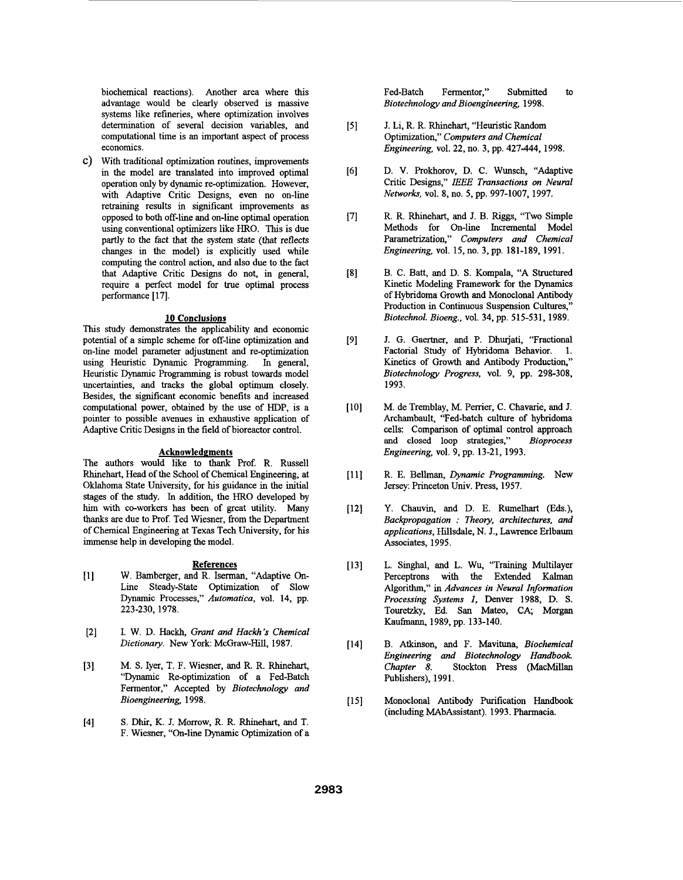biochemical reactions). Another area where this advantage would be clearly observed is massive systems like refineries, where optimization involves determination of several decision variables, and computational time is an important aspect of process economics.

With traditional optimization routines, improvements in the model are translated into improved optimal operation only by dynamic re-optimization. However, with Adaptive Critic Designs, even no on-line retraining results in significant improvements as opposed to both off-line and on-line optimal operation using conventional optimizers like *HRO.* **This** is due partly to the fact that the system state (that reflects changes in the model) is explicitly used while computing the control action, and also due to the fact that Adaptive Critic Designs do not, in general, require a perfect model for true optimal process performance [ 171.

#### **10 Conclusions**

This study demonstrates the applicability and economic potential of a simple scheme for off-line optimization and on-line model parameter adjustment and re-optimization using Heuristic Dynamic Programming. In general, Heuristic Dynamic Programming is robust towards model uncertainties, and tracks the global optimum closely. Besides, the significant economic benefits and increased computational power, obtained by the use of HDP, is a pointer to possible avenues in exhaustive application of Adaptive Critic Designs in the field of bioreactor control.

### **Acknowledsments**

The authors would like to thank Prof. R. Russell Rhinehart, Head of the School of Chemical Engineering, at Oklahoma State University, for his guidance in the initial stages **of** the study. In addition, the *HRO* developed by him with co-workers has been of great utility. Many thanks are due to Prof. Ted Wiesner, from the Department of Chemical Engineering at Texas Tech University, for his immense help in developing the model.

#### **References**

- $[1]$ W. Bamberger, and R. Iserman, "Adaptive *On-*Line Steady-State Optimization of Slow Dynamic Processes," *Automatica,* vol. 14, pp. 223-230, 1978.
- $[2]$ **I.** W. D. Hackh, *Grant and Hackh* **'s** *Chemical Dictionay.* New York: McGraw-Hill, 1987.
- $[3]$ M. **S.** Iyer, T. F. Wiesner, and R. R. Rhinehart, "Dynamic Re-optimization of a Fed-Batch Fermentor," Accepted by *Biotechnology and Bioengineering,* 1998.
- $[4]$ S. Dhir, K. J. Morrow, R. R. Rhinehart, and T. F. Wiesner, "On-line Dynamic Optimization of a

Fed-Batch Fermentor," Submitted to *Biotechnology and Bioengineering,* 1998.

- $[5]$ J. Li, R. R. Rhinehart, "Heuristic Random Optimization," *Computers and Chemical Engineering,* vol. 22, no. 3, pp. 427-444, 1998.
- $[6]$ D. V. Prokhorov, D. C. Wunsch, "Adaptive Critic Designs," *IEEE Transactions on Neuml Networks,* vol. *8,* no. 5, pp. 997-1007, 1997.
- $[7]$ R. R. Rhinehart, and J. B. Riggs, "Two Simple Methods for On-line Incremental Model Parametrization," *Computers and Chemical Engineering,* vol. 15, no. 3, pp. 181-189, 1991.
- $[8]$ B. C. Batt, and D. **S.** Kompala, "A Structured Kinetic Modeling Framework for the Dynamics of Hybridoma Growth and Monoclonal Antibody Production in Continuous Suspension Cultures," *Biotechnol. Bioeng.,* vol. 34, pp. 515-531,1989.
- **J.** G. Gaertner, and P. Dhujati, "Fractional  $[9]$ Factorial Study of Hybridoma Behavior. 1. Kinetics of Growth and Antibody Production," *Biotechnology Progress,* vol. 9, pp. 298-308, 1993.
- $[10]$ M. de Tremblay, M. Pemer, C. Chavarie, and J. Archambault, "Fed-batch culture of hybridoma cells: Comparison **of** optimal control approach and closed loop strategies," *Bioprocess Engineering,* vol. 9, pp. 13-21, 1993.
- $[11]$ R. E. Bellman, *Dynamic Programming.* New Jersey: Princeton Univ. Press, 1957.
- $[12]$ Y. Chauvin, and D. E. Rumelhart **(Eds.),**  *Backpropagation* : *Theoty, architectures, and applications,* Hillsdale, **N.** J., Lawence Erlbaum Associates, 1995.
- L. Singhal, and L. Wu, "Training Multilayer  $[13]$ Perceptrons with the Extended Kalman Algorithm," in *Advances in Neural Information Processing Systems 1,* Denver 1988, **D. S.**  Touretzky, Ed. San Mateo, CA; Morgan Kaufmann, 1989, pp. 133-140.
- $[14]$ B. Atkinson, and F. Mavituna, *Biochemical Engineering and Biotechnology Handbook. Chapter 8.* Stockton Press (MacMillan Publishers), 1991.
- $[15]$ Monoclonal Antibody Purification Handbook (including MAbAssistant). 1993. Pharmacia.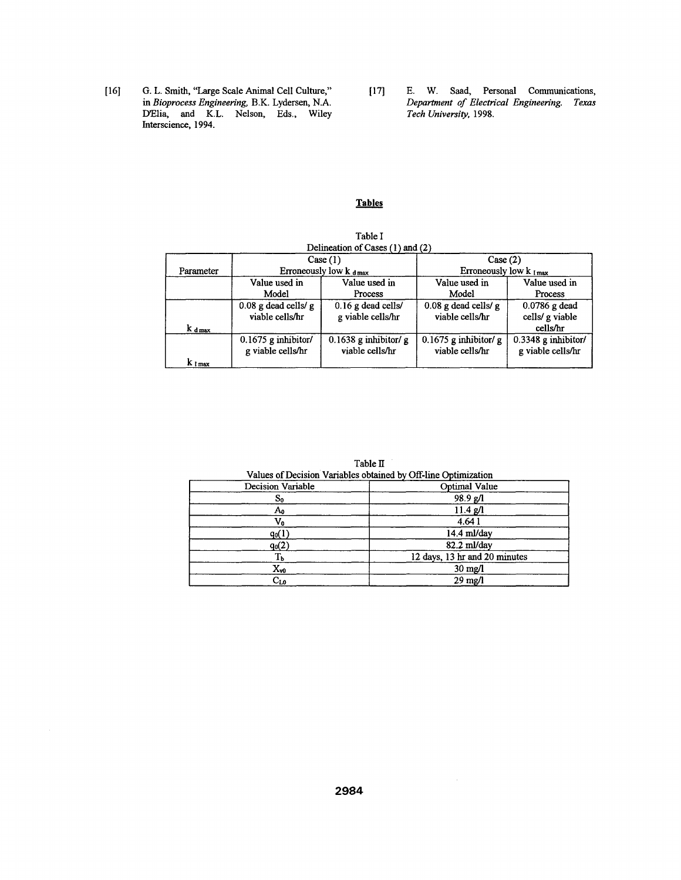- [16] G. L. Smith, "Large Scale Animal Cell Culture," in *Bioprocess Engineering,* B.K. Lydersen, N.A. D'Elia, and K.L. Nelson, Eds., Wiley hterscience, 1994.
- [17] E. W. Saad, Personal Communications, *Department of Electncal Engineering. Texas Tech University,* 1998.

# - **Tables**

Table I Delineation of Cases (1) and (2)

|              | Case (1)<br>Erroneously low $k_{dmax}$ |                         | Case (2)<br>Erroneously low $k_{I max}$ |                       |
|--------------|----------------------------------------|-------------------------|-----------------------------------------|-----------------------|
| Parameter    |                                        |                         |                                         |                       |
|              | Value used in                          | Value used in           | Value used in                           | Value used in         |
|              | Model                                  | Process                 | Model                                   | Process               |
|              | $0.08$ g dead cells/ g                 | $0.16$ g dead cells/    | $0.08$ g dead cells/ g                  | $0.0786$ g dead       |
|              | viable cells/hr                        | g viable cells/hr       | viable cells/hr                         | cells/ g viable       |
| $k_{dmax}$   |                                        |                         |                                         | cells/hr              |
|              | $0.1675$ g inhibitor/                  | $0.1638$ g inhibitor/ g | $0.1675$ g inhibitor/ g                 | $0.3348$ g inhibitor/ |
|              | g viable cells/hr                      | viable cells/hr         | viable cells/hr                         | g viable cells/hr     |
| $k_{I\,max}$ |                                        |                         |                                         |                       |

Table  $\Pi$ 

| Values of Decision Variables obtained by Off-line Optimization |  |
|----------------------------------------------------------------|--|
|                                                                |  |
|                                                                |  |

| Decision Variable | Optimal Value                 |  |  |
|-------------------|-------------------------------|--|--|
| $S_0$             | 98.9 g/l                      |  |  |
| Αo                | $11.4$ g/l                    |  |  |
| V0                | 4.641                         |  |  |
| $q_0(1)$          | 14.4 ml/day                   |  |  |
| $q_0(2)$          | 82.2 ml/day                   |  |  |
|                   | 12 days, 13 hr and 20 minutes |  |  |
| $X_{\rm v0}$      | $30 \text{ mg/l}$             |  |  |
| $\mathrm{C_{Lo}}$ | $29$ mg/l                     |  |  |